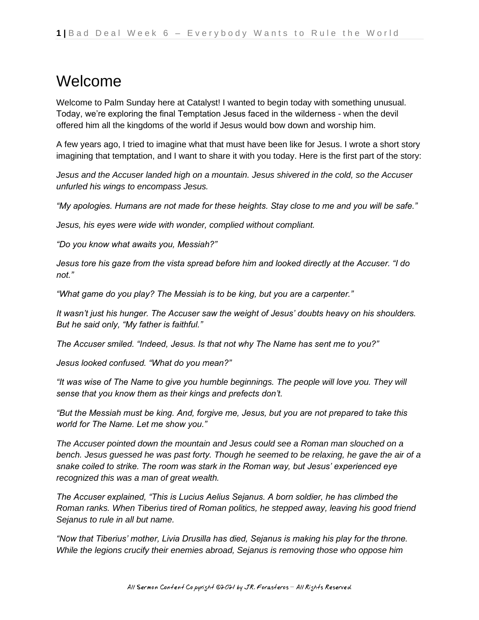## Welcome

Welcome to Palm Sunday here at Catalyst! I wanted to begin today with something unusual. Today, we're exploring the final Temptation Jesus faced in the wilderness - when the devil offered him all the kingdoms of the world if Jesus would bow down and worship him.

A few years ago, I tried to imagine what that must have been like for Jesus. I wrote a short story imagining that temptation, and I want to share it with you today. Here is the first part of the story:

*Jesus and the Accuser landed high on a mountain. Jesus shivered in the cold, so the Accuser unfurled his wings to encompass Jesus.*

*"My apologies. Humans are not made for these heights. Stay close to me and you will be safe."*

*Jesus, his eyes were wide with wonder, complied without compliant.*

*"Do you know what awaits you, Messiah?"*

*Jesus tore his gaze from the vista spread before him and looked directly at the Accuser. "I do not."*

*"What game do you play? The Messiah is to be king, but you are a carpenter."*

*It wasn't just his hunger. The Accuser saw the weight of Jesus' doubts heavy on his shoulders. But he said only, "My father is faithful."*

*The Accuser smiled. "Indeed, Jesus. Is that not why The Name has sent me to you?"*

*Jesus looked confused. "What do you mean?"*

*"It was wise of The Name to give you humble beginnings. The people will love you. They will sense that you know them as their kings and prefects don't.*

*"But the Messiah must be king. And, forgive me, Jesus, but you are not prepared to take this world for The Name. Let me show you."*

*The Accuser pointed down the mountain and Jesus could see a Roman man slouched on a bench. Jesus guessed he was past forty. Though he seemed to be relaxing, he gave the air of a snake coiled to strike. The room was stark in the Roman way, but Jesus' experienced eye recognized this was a man of great wealth.*

*The Accuser explained, "This is Lucius Aelius Sejanus. A born soldier, he has climbed the Roman ranks. When Tiberius tired of Roman politics, he stepped away, leaving his good friend Sejanus to rule in all but name.*

*"Now that Tiberius' mother, Livia Drusilla has died, Sejanus is making his play for the throne. While the legions crucify their enemies abroad, Sejanus is removing those who oppose him*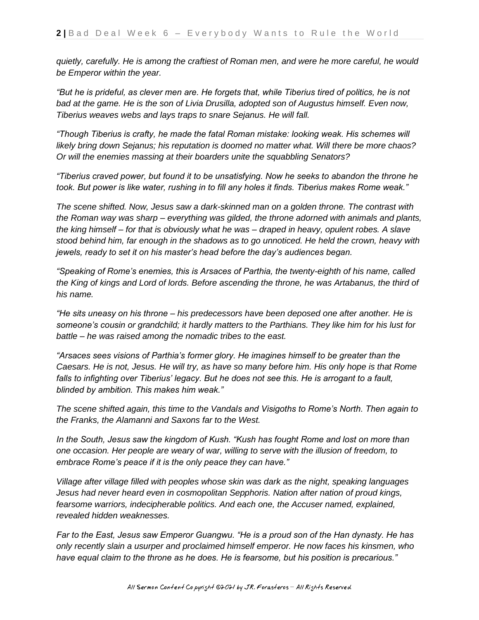*quietly, carefully. He is among the craftiest of Roman men, and were he more careful, he would be Emperor within the year.*

*"But he is prideful, as clever men are. He forgets that, while Tiberius tired of politics, he is not bad at the game. He is the son of Livia Drusilla, adopted son of Augustus himself. Even now, Tiberius weaves webs and lays traps to snare Sejanus. He will fall.*

*"Though Tiberius is crafty, he made the fatal Roman mistake: looking weak. His schemes will likely bring down Sejanus; his reputation is doomed no matter what. Will there be more chaos? Or will the enemies massing at their boarders unite the squabbling Senators?*

*"Tiberius craved power, but found it to be unsatisfying. Now he seeks to abandon the throne he took. But power is like water, rushing in to fill any holes it finds. Tiberius makes Rome weak."*

*The scene shifted. Now, Jesus saw a dark-skinned man on a golden throne. The contrast with the Roman way was sharp – everything was gilded, the throne adorned with animals and plants, the king himself – for that is obviously what he was – draped in heavy, opulent robes. A slave stood behind him, far enough in the shadows as to go unnoticed. He held the crown, heavy with jewels, ready to set it on his master's head before the day's audiences began.*

*"Speaking of Rome's enemies, this is Arsaces of Parthia, the twenty-eighth of his name, called the King of kings and Lord of lords. Before ascending the throne, he was Artabanus, the third of his name.*

*"He sits uneasy on his throne – his predecessors have been deposed one after another. He is someone's cousin or grandchild; it hardly matters to the Parthians. They like him for his lust for battle – he was raised among the nomadic tribes to the east.*

*"Arsaces sees visions of Parthia's former glory. He imagines himself to be greater than the Caesars. He is not, Jesus. He will try, as have so many before him. His only hope is that Rome*  falls to infighting over Tiberius' legacy. But he does not see this. He is arrogant to a fault, *blinded by ambition. This makes him weak."*

*The scene shifted again, this time to the Vandals and Visigoths to Rome's North. Then again to the Franks, the Alamanni and Saxons far to the West.*

*In the South, Jesus saw the kingdom of Kush. "Kush has fought Rome and lost on more than one occasion. Her people are weary of war, willing to serve with the illusion of freedom, to embrace Rome's peace if it is the only peace they can have."*

*Village after village filled with peoples whose skin was dark as the night, speaking languages Jesus had never heard even in cosmopolitan Sepphoris. Nation after nation of proud kings, fearsome warriors, indecipherable politics. And each one, the Accuser named, explained, revealed hidden weaknesses.*

*Far to the East, Jesus saw Emperor Guangwu. "He is a proud son of the Han dynasty. He has only recently slain a usurper and proclaimed himself emperor. He now faces his kinsmen, who have equal claim to the throne as he does. He is fearsome, but his position is precarious."*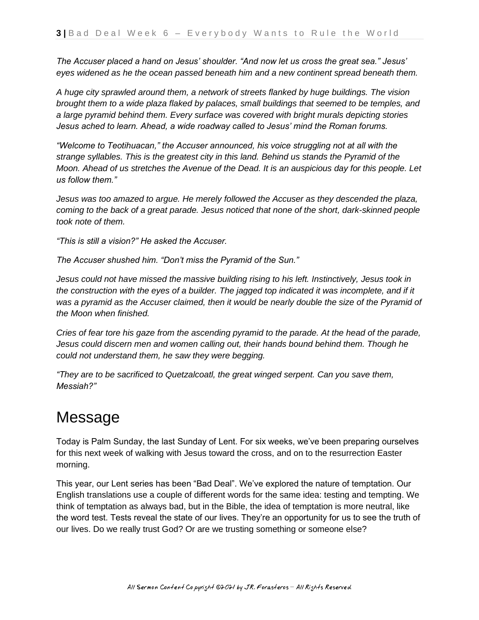*The Accuser placed a hand on Jesus' shoulder. "And now let us cross the great sea." Jesus' eyes widened as he the ocean passed beneath him and a new continent spread beneath them.*

*A huge city sprawled around them, a network of streets flanked by huge buildings. The vision brought them to a wide plaza flaked by palaces, small buildings that seemed to be temples, and a large pyramid behind them. Every surface was covered with bright murals depicting stories Jesus ached to learn. Ahead, a wide roadway called to Jesus' mind the Roman forums.*

*"Welcome to Teotihuacan," the Accuser announced, his voice struggling not at all with the strange syllables. This is the greatest city in this land. Behind us stands the Pyramid of the Moon. Ahead of us stretches the Avenue of the Dead. It is an auspicious day for this people. Let us follow them."*

*Jesus was too amazed to argue. He merely followed the Accuser as they descended the plaza, coming to the back of a great parade. Jesus noticed that none of the short, dark-skinned people took note of them.*

*"This is still a vision?" He asked the Accuser.*

*The Accuser shushed him. "Don't miss the Pyramid of the Sun."*

*Jesus could not have missed the massive building rising to his left. Instinctively, Jesus took in the construction with the eyes of a builder. The jagged top indicated it was incomplete, and if it* was a pyramid as the Accuser claimed, then it would be nearly double the size of the Pyramid of *the Moon when finished.*

*Cries of fear tore his gaze from the ascending pyramid to the parade. At the head of the parade, Jesus could discern men and women calling out, their hands bound behind them. Though he could not understand them, he saw they were begging.*

*"They are to be sacrificed to Quetzalcoatl, the great winged serpent. Can you save them, Messiah?"*

### Message

Today is Palm Sunday, the last Sunday of Lent. For six weeks, we've been preparing ourselves for this next week of walking with Jesus toward the cross, and on to the resurrection Easter morning.

This year, our Lent series has been "Bad Deal". We've explored the nature of temptation. Our English translations use a couple of different words for the same idea: testing and tempting. We think of temptation as always bad, but in the Bible, the idea of temptation is more neutral, like the word test. Tests reveal the state of our lives. They're an opportunity for us to see the truth of our lives. Do we really trust God? Or are we trusting something or someone else?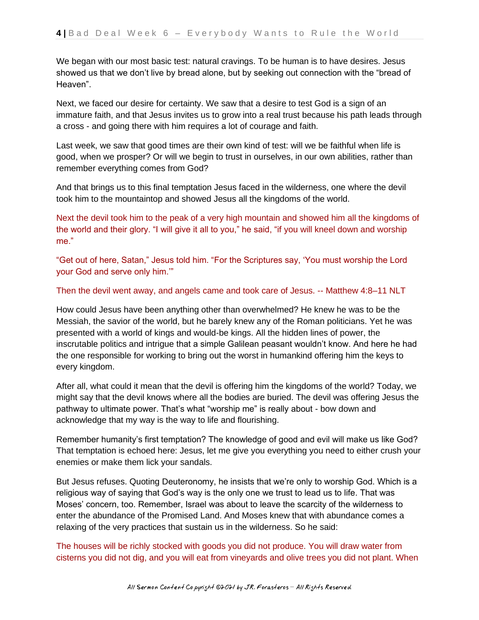We began with our most basic test: natural cravings. To be human is to have desires. Jesus showed us that we don't live by bread alone, but by seeking out connection with the "bread of Heaven".

Next, we faced our desire for certainty. We saw that a desire to test God is a sign of an immature faith, and that Jesus invites us to grow into a real trust because his path leads through a cross - and going there with him requires a lot of courage and faith.

Last week, we saw that good times are their own kind of test: will we be faithful when life is good, when we prosper? Or will we begin to trust in ourselves, in our own abilities, rather than remember everything comes from God?

And that brings us to this final temptation Jesus faced in the wilderness, one where the devil took him to the mountaintop and showed Jesus all the kingdoms of the world.

Next the devil took him to the peak of a very high mountain and showed him all the kingdoms of the world and their glory. "I will give it all to you," he said, "if you will kneel down and worship me."

"Get out of here, Satan," Jesus told him. "For the Scriptures say, 'You must worship the Lord your God and serve only him.'"

#### Then the devil went away, and angels came and took care of Jesus. -- Matthew 4:8–11 NLT

How could Jesus have been anything other than overwhelmed? He knew he was to be the Messiah, the savior of the world, but he barely knew any of the Roman politicians. Yet he was presented with a world of kings and would-be kings. All the hidden lines of power, the inscrutable politics and intrigue that a simple Galilean peasant wouldn't know. And here he had the one responsible for working to bring out the worst in humankind offering him the keys to every kingdom.

After all, what could it mean that the devil is offering him the kingdoms of the world? Today, we might say that the devil knows where all the bodies are buried. The devil was offering Jesus the pathway to ultimate power. That's what "worship me" is really about - bow down and acknowledge that my way is the way to life and flourishing.

Remember humanity's first temptation? The knowledge of good and evil will make us like God? That temptation is echoed here: Jesus, let me give you everything you need to either crush your enemies or make them lick your sandals.

But Jesus refuses. Quoting Deuteronomy, he insists that we're only to worship God. Which is a religious way of saying that God's way is the only one we trust to lead us to life. That was Moses' concern, too. Remember, Israel was about to leave the scarcity of the wilderness to enter the abundance of the Promised Land. And Moses knew that with abundance comes a relaxing of the very practices that sustain us in the wilderness. So he said:

The houses will be richly stocked with goods you did not produce. You will draw water from cisterns you did not dig, and you will eat from vineyards and olive trees you did not plant. When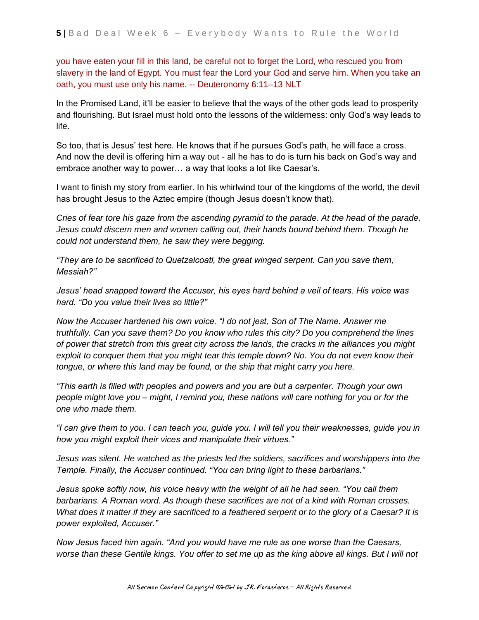you have eaten your fill in this land, be careful not to forget the Lord, who rescued you from slavery in the land of Egypt. You must fear the Lord your God and serve him. When you take an oath, you must use only his name. -- Deuteronomy 6:11–13 NLT

In the Promised Land, it'll be easier to believe that the ways of the other gods lead to prosperity and flourishing. But Israel must hold onto the lessons of the wilderness: only God's way leads to life.

So too, that is Jesus' test here. He knows that if he pursues God's path, he will face a cross. And now the devil is offering him a way out - all he has to do is turn his back on God's way and embrace another way to power… a way that looks a lot like Caesar's.

I want to finish my story from earlier. In his whirlwind tour of the kingdoms of the world, the devil has brought Jesus to the Aztec empire (though Jesus doesn't know that).

*Cries of fear tore his gaze from the ascending pyramid to the parade. At the head of the parade, Jesus could discern men and women calling out, their hands bound behind them. Though he could not understand them, he saw they were begging.*

*"They are to be sacrificed to Quetzalcoatl, the great winged serpent. Can you save them, Messiah?"*

*Jesus' head snapped toward the Accuser, his eyes hard behind a veil of tears. His voice was hard. "Do you value their lives so little?"*

*Now the Accuser hardened his own voice. "I do not jest, Son of The Name. Answer me truthfully. Can you save them? Do you know who rules this city? Do you comprehend the lines of power that stretch from this great city across the lands, the cracks in the alliances you might exploit to conquer them that you might tear this temple down? No. You do not even know their tongue, or where this land may be found, or the ship that might carry you here.*

*"This earth is filled with peoples and powers and you are but a carpenter. Though your own people might love you – might, I remind you, these nations will care nothing for you or for the one who made them.*

*"I can give them to you. I can teach you, guide you. I will tell you their weaknesses, guide you in how you might exploit their vices and manipulate their virtues."*

*Jesus was silent. He watched as the priests led the soldiers, sacrifices and worshippers into the Temple. Finally, the Accuser continued. "You can bring light to these barbarians."*

*Jesus spoke softly now, his voice heavy with the weight of all he had seen. "You call them barbarians. A Roman word. As though these sacrifices are not of a kind with Roman crosses. What does it matter if they are sacrificed to a feathered serpent or to the glory of a Caesar? It is power exploited, Accuser."*

*Now Jesus faced him again. "And you would have me rule as one worse than the Caesars, worse than these Gentile kings. You offer to set me up as the king above all kings. But I will not*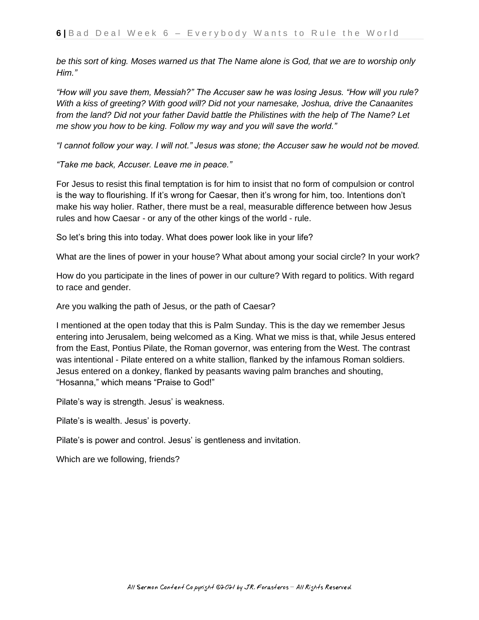*be this sort of king. Moses warned us that The Name alone is God, that we are to worship only Him."*

*"How will you save them, Messiah?" The Accuser saw he was losing Jesus. "How will you rule? With a kiss of greeting? With good will? Did not your namesake, Joshua, drive the Canaanites from the land? Did not your father David battle the Philistines with the help of The Name? Let me show you how to be king. Follow my way and you will save the world."*

*"I cannot follow your way. I will not." Jesus was stone; the Accuser saw he would not be moved.*

*"Take me back, Accuser. Leave me in peace."*

For Jesus to resist this final temptation is for him to insist that no form of compulsion or control is the way to flourishing. If it's wrong for Caesar, then it's wrong for him, too. Intentions don't make his way holier. Rather, there must be a real, measurable difference between how Jesus rules and how Caesar - or any of the other kings of the world - rule.

So let's bring this into today. What does power look like in your life?

What are the lines of power in your house? What about among your social circle? In your work?

How do you participate in the lines of power in our culture? With regard to politics. With regard to race and gender.

Are you walking the path of Jesus, or the path of Caesar?

I mentioned at the open today that this is Palm Sunday. This is the day we remember Jesus entering into Jerusalem, being welcomed as a King. What we miss is that, while Jesus entered from the East, Pontius Pilate, the Roman governor, was entering from the West. The contrast was intentional - Pilate entered on a white stallion, flanked by the infamous Roman soldiers. Jesus entered on a donkey, flanked by peasants waving palm branches and shouting, "Hosanna," which means "Praise to God!"

Pilate's way is strength. Jesus' is weakness.

Pilate's is wealth. Jesus' is poverty.

Pilate's is power and control. Jesus' is gentleness and invitation.

Which are we following, friends?